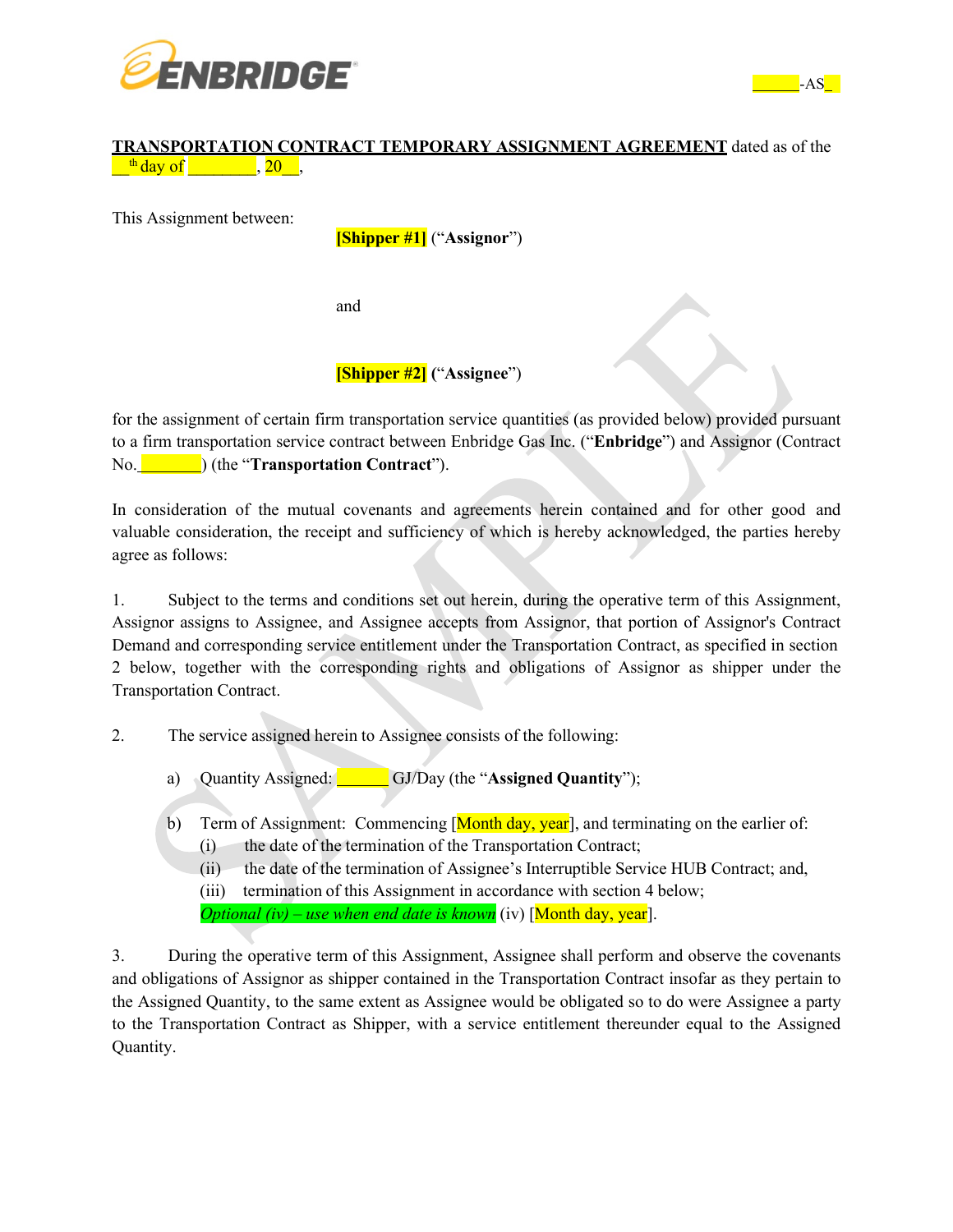



#### **TRANSPORTATION CONTRACT TEMPORARY ASSIGNMENT AGREEMENT** dated as of the  $\frac{\text{th day of}}{\text{day of}}$ , 20,

This Assignment between:

**[Shipper #1]** ("**Assignor**")

and

# **[Shipper #2] (**"**Assignee**")

for the assignment of certain firm transportation service quantities (as provided below) provided pursuant to a firm transportation service contract between Enbridge Gas Inc. ("**Enbridge**") and Assignor (Contract No. ) (the "**Transportation Contract**").

In consideration of the mutual covenants and agreements herein contained and for other good and valuable consideration, the receipt and sufficiency of which is hereby acknowledged, the parties hereby agree as follows:

1. Subject to the terms and conditions set out herein, during the operative term of this Assignment, Assignor assigns to Assignee, and Assignee accepts from Assignor, that portion of Assignor's Contract Demand and corresponding service entitlement under the Transportation Contract, as specified in section 2 below, together with the corresponding rights and obligations of Assignor as shipper under the Transportation Contract.

- 2. The service assigned herein to Assignee consists of the following:
	- a) Quantity Assigned: GJ/Day (the "**Assigned Quantity**");
	- b) Term of Assignment: Commencing  $[Month day, year]$ , and terminating on the earlier of:
		- (i) the date of the termination of the Transportation Contract;
		- (ii) the date of the termination of Assignee's Interruptible Service HUB Contract; and,

(iii) termination of this Assignment in accordance with section 4 below; *Optional (iv) – use when end date is known* (iv) [Month day, year].

3. During the operative term of this Assignment, Assignee shall perform and observe the covenants and obligations of Assignor as shipper contained in the Transportation Contract insofar as they pertain to the Assigned Quantity, to the same extent as Assignee would be obligated so to do were Assignee a party to the Transportation Contract as Shipper, with a service entitlement thereunder equal to the Assigned Quantity.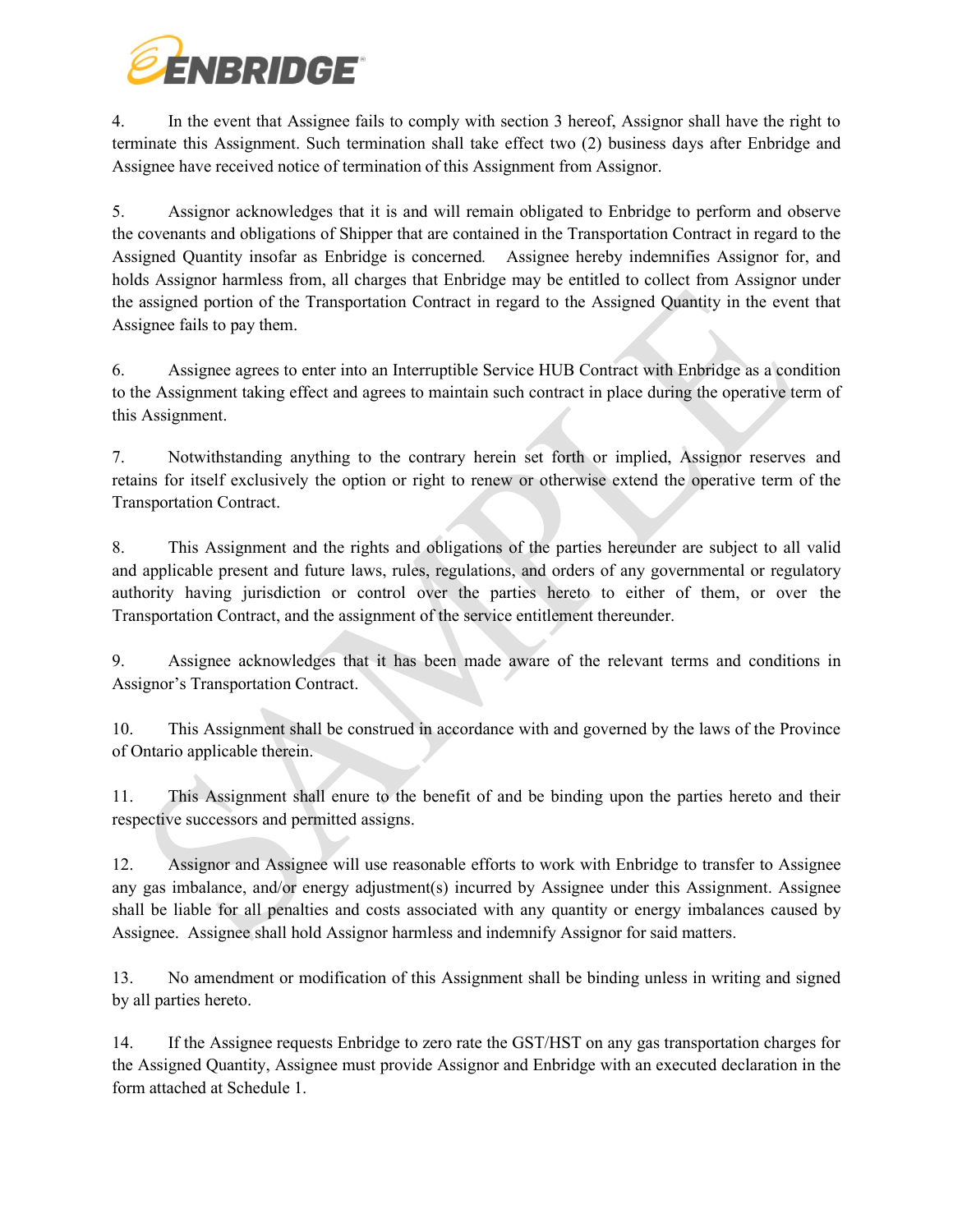

4. In the event that Assignee fails to comply with section 3 hereof, Assignor shall have the right to terminate this Assignment. Such termination shall take effect two (2) business days after Enbridge and Assignee have received notice of termination of this Assignment from Assignor.

5. Assignor acknowledges that it is and will remain obligated to Enbridge to perform and observe the covenants and obligations of Shipper that are contained in the Transportation Contract in regard to the Assigned Quantity insofar as Enbridge is concerned*.* Assignee hereby indemnifies Assignor for, and holds Assignor harmless from, all charges that Enbridge may be entitled to collect from Assignor under the assigned portion of the Transportation Contract in regard to the Assigned Quantity in the event that Assignee fails to pay them.

6. Assignee agrees to enter into an Interruptible Service HUB Contract with Enbridge as a condition to the Assignment taking effect and agrees to maintain such contract in place during the operative term of this Assignment.

7. Notwithstanding anything to the contrary herein set forth or implied, Assignor reserves and retains for itself exclusively the option or right to renew or otherwise extend the operative term of the Transportation Contract.

8. This Assignment and the rights and obligations of the parties hereunder are subject to all valid and applicable present and future laws, rules, regulations, and orders of any governmental or regulatory authority having jurisdiction or control over the parties hereto to either of them, or over the Transportation Contract, and the assignment of the service entitlement thereunder.

9. Assignee acknowledges that it has been made aware of the relevant terms and conditions in Assignor's Transportation Contract.

10. This Assignment shall be construed in accordance with and governed by the laws of the Province of Ontario applicable therein.

11. This Assignment shall enure to the benefit of and be binding upon the parties hereto and their respective successors and permitted assigns.

12. Assignor and Assignee will use reasonable efforts to work with Enbridge to transfer to Assignee any gas imbalance, and/or energy adjustment(s) incurred by Assignee under this Assignment. Assignee shall be liable for all penalties and costs associated with any quantity or energy imbalances caused by Assignee. Assignee shall hold Assignor harmless and indemnify Assignor for said matters.

13. No amendment or modification of this Assignment shall be binding unless in writing and signed by all parties hereto.

14. If the Assignee requests Enbridge to zero rate the GST/HST on any gas transportation charges for the Assigned Quantity, Assignee must provide Assignor and Enbridge with an executed declaration in the form attached at Schedule 1.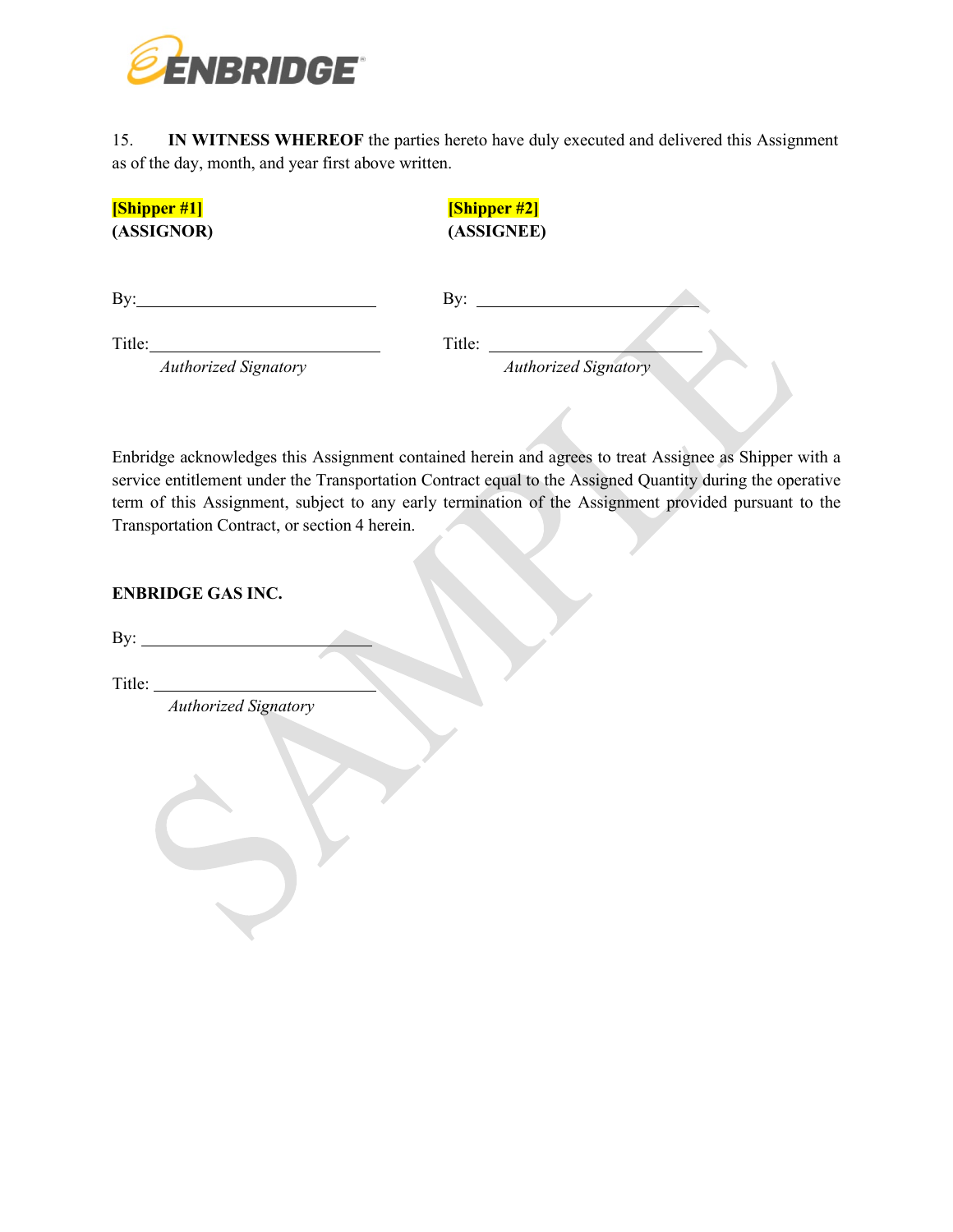

15. **IN WITNESS WHEREOF** the parties hereto have duly executed and delivered this Assignment as of the day, month, and year first above written.

| [Shipper #1]                | [Shipper #2]                |  |
|-----------------------------|-----------------------------|--|
| (ASSIGNOR)                  | (ASSIGNEE)                  |  |
|                             |                             |  |
| By:                         | By:                         |  |
| Title:                      | Title:                      |  |
| <b>Authorized Signatory</b> | <b>Authorized Signatory</b> |  |

Enbridge acknowledges this Assignment contained herein and agrees to treat Assignee as Shipper with a service entitlement under the Transportation Contract equal to the Assigned Quantity during the operative term of this Assignment, subject to any early termination of the Assignment provided pursuant to the Transportation Contract, or section 4 herein.

## **ENBRIDGE GAS INC.**

By:  $\qquad \qquad$ 

Title:

*Authorized Signatory*